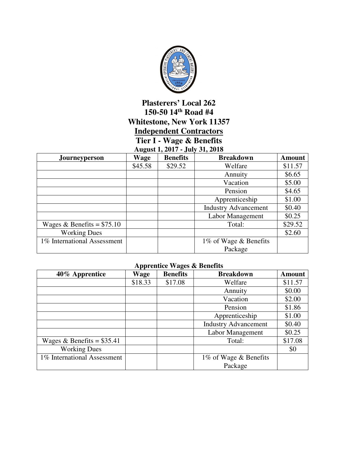

## **Plasterers' Local 262 150-50 14th Road #4 Whitestone, New York 11357 Independent Contractors Tier I - Wage & Benefits**

## **August 1, 2017 - July 31, 2018**

| $1.11$ $1.11$<br>$0.41$ , $0.49 - 0.40$ |         |                 |                             |               |
|-----------------------------------------|---------|-----------------|-----------------------------|---------------|
| Journeyperson                           | Wage    | <b>Benefits</b> | <b>Breakdown</b>            | <b>Amount</b> |
|                                         | \$45.58 | \$29.52         | Welfare                     | \$11.57       |
|                                         |         |                 | Annuity                     | \$6.65        |
|                                         |         |                 | Vacation                    | \$5.00        |
|                                         |         |                 | Pension                     | \$4.65        |
|                                         |         |                 | Apprenticeship              | \$1.00        |
|                                         |         |                 | <b>Industry Advancement</b> | \$0.40        |
|                                         |         |                 | Labor Management            | \$0.25        |
| Wages & Benefits = $$75.10$             |         |                 | Total:                      | \$29.52       |
| <b>Working Dues</b>                     |         |                 |                             | \$2.60        |
| 1% International Assessment             |         |                 | 1% of Wage & Benefits       |               |
|                                         |         |                 | Package                     |               |

## **Apprentice Wages & Benefits**

| 40% Apprentice              | Wage    | <b>Benefits</b> | <b>Breakdown</b>            | <b>Amount</b> |
|-----------------------------|---------|-----------------|-----------------------------|---------------|
|                             | \$18.33 | \$17.08         | Welfare                     | \$11.57       |
|                             |         |                 | Annuity                     | \$0.00        |
|                             |         |                 | Vacation                    | \$2.00        |
|                             |         |                 | Pension                     | \$1.86        |
|                             |         |                 | Apprenticeship              | \$1.00        |
|                             |         |                 | <b>Industry Advancement</b> | \$0.40        |
|                             |         |                 | Labor Management            | \$0.25        |
| Wages & Benefits = $$35.41$ |         |                 | Total:                      | \$17.08       |
| <b>Working Dues</b>         |         |                 |                             | \$0           |
| 1% International Assessment |         |                 | 1% of Wage & Benefits       |               |
|                             |         |                 | Package                     |               |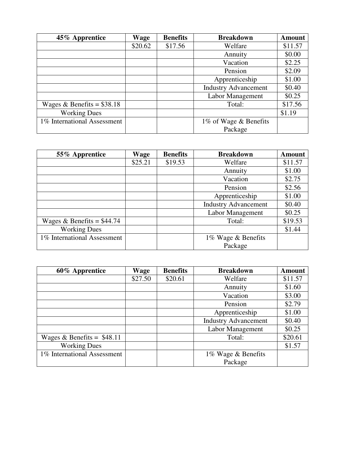| 45% Apprentice              | Wage    | <b>Benefits</b> | <b>Breakdown</b>            | <b>Amount</b> |
|-----------------------------|---------|-----------------|-----------------------------|---------------|
|                             | \$20.62 | \$17.56         | Welfare                     | \$11.57       |
|                             |         |                 | Annuity                     | \$0.00        |
|                             |         |                 | Vacation                    | \$2.25        |
|                             |         |                 | Pension                     | \$2.09        |
|                             |         |                 | Apprenticeship              | \$1.00        |
|                             |         |                 | <b>Industry Advancement</b> | \$0.40        |
|                             |         |                 | Labor Management            | \$0.25        |
| Wages & Benefits = $$38.18$ |         |                 | Total:                      | \$17.56       |
| <b>Working Dues</b>         |         |                 |                             | \$1.19        |
| 1% International Assessment |         |                 | 1% of Wage & Benefits       |               |
|                             |         |                 | Package                     |               |

| 55% Apprentice              | Wage    | <b>Benefits</b> | <b>Breakdown</b>            | <b>Amount</b> |
|-----------------------------|---------|-----------------|-----------------------------|---------------|
|                             | \$25.21 | \$19.53         | Welfare                     | \$11.57       |
|                             |         |                 | Annuity                     | \$1.00        |
|                             |         |                 | Vacation                    | \$2.75        |
|                             |         |                 | Pension                     | \$2.56        |
|                             |         |                 | Apprenticeship              | \$1.00        |
|                             |         |                 | <b>Industry Advancement</b> | \$0.40        |
|                             |         |                 | Labor Management            | \$0.25        |
| Wages & Benefits = $$44.74$ |         |                 | Total:                      | \$19.53       |
| <b>Working Dues</b>         |         |                 |                             | \$1.44        |
| 1% International Assessment |         |                 | 1% Wage & Benefits          |               |
|                             |         |                 | Package                     |               |

| 60% Apprentice              | Wage    | <b>Benefits</b> | <b>Breakdown</b>            | <b>Amount</b> |
|-----------------------------|---------|-----------------|-----------------------------|---------------|
|                             | \$27.50 | \$20.61         | Welfare                     | \$11.57       |
|                             |         |                 | Annuity                     | \$1.60        |
|                             |         |                 | Vacation                    | \$3.00        |
|                             |         |                 | Pension                     | \$2.79        |
|                             |         |                 | Apprenticeship              | \$1.00        |
|                             |         |                 | <b>Industry Advancement</b> | \$0.40        |
|                             |         |                 | Labor Management            | \$0.25        |
| Wages & Benefits = $$48.11$ |         |                 | Total:                      | \$20.61       |
| <b>Working Dues</b>         |         |                 |                             | \$1.57        |
| 1% International Assessment |         |                 | 1% Wage & Benefits          |               |
|                             |         |                 | Package                     |               |